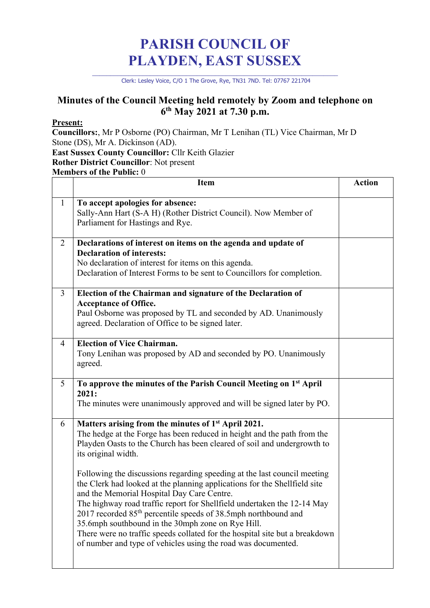## **PARISH COUNCIL OF PLAYDEN, EAST SUSSEX**

\_\_\_\_\_\_\_\_\_\_\_\_\_\_\_\_\_\_\_\_\_\_\_\_\_\_\_\_\_\_\_\_\_\_\_\_\_\_\_\_\_\_\_\_\_\_\_\_\_\_\_\_\_\_\_\_\_\_\_\_\_\_\_\_\_\_\_\_ Clerk: Lesley Voice, C/O 1 The Grove, Rye, TN31 7ND. Tel: 07767 221704

## **Minutes of the Council Meeting held remotely by Zoom and telephone on 6th May 2021 at 7.30 p.m.**

## **Present:**

**Councillors:**, Mr P Osborne (PO) Chairman, Mr T Lenihan (TL) Vice Chairman, Mr D Stone (DS), Mr A. Dickinson (AD).

**East Sussex County Councillor:** Cllr Keith Glazier **Rother District Councillor**: Not present

**Members of the Public:** 0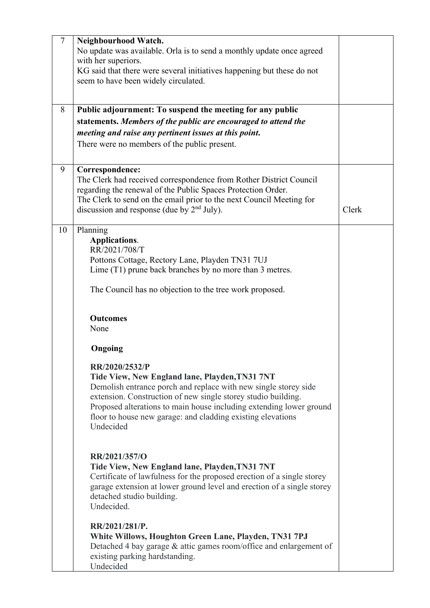| 7  | Neighbourhood Watch.                                                   |       |
|----|------------------------------------------------------------------------|-------|
|    | No update was available. Orla is to send a monthly update once agreed  |       |
|    | with her superiors.                                                    |       |
|    | KG said that there were several initiatives happening but these do not |       |
|    | seem to have been widely circulated.                                   |       |
|    |                                                                        |       |
|    |                                                                        |       |
| 8  | Public adjournment: To suspend the meeting for any public              |       |
|    | statements. Members of the public are encouraged to attend the         |       |
|    | meeting and raise any pertinent issues at this point.                  |       |
|    |                                                                        |       |
|    | There were no members of the public present.                           |       |
|    |                                                                        |       |
| 9  | Correspondence:                                                        |       |
|    | The Clerk had received correspondence from Rother District Council     |       |
|    | regarding the renewal of the Public Spaces Protection Order.           |       |
|    | The Clerk to send on the email prior to the next Council Meeting for   |       |
|    | discussion and response (due by 2 <sup>nd</sup> July).                 | Clerk |
|    |                                                                        |       |
| 10 | Planning                                                               |       |
|    | Applications.                                                          |       |
|    | RR/2021/708/T                                                          |       |
|    | Pottons Cottage, Rectory Lane, Playden TN31 7UJ                        |       |
|    | Lime (T1) prune back branches by no more than 3 metres.                |       |
|    |                                                                        |       |
|    | The Council has no objection to the tree work proposed.                |       |
|    |                                                                        |       |
|    |                                                                        |       |
|    | <b>Outcomes</b>                                                        |       |
|    | None                                                                   |       |
|    |                                                                        |       |
|    | Ongoing                                                                |       |
|    |                                                                        |       |
|    | RR/2020/2532/P                                                         |       |
|    | Tide View, New England lane, Playden, TN31 7NT                         |       |
|    | Demolish entrance porch and replace with new single storey side        |       |
|    | extension. Construction of new single storey studio building.          |       |
|    | Proposed alterations to main house including extending lower ground    |       |
|    | floor to house new garage: and cladding existing elevations            |       |
|    | Undecided                                                              |       |
|    |                                                                        |       |
|    |                                                                        |       |
|    | RR/2021/357/O                                                          |       |
|    | Tide View, New England lane, Playden, TN31 7NT                         |       |
|    | Certificate of lawfulness for the proposed erection of a single storey |       |
|    | garage extension at lower ground level and erection of a single storey |       |
|    | detached studio building.                                              |       |
|    | Undecided.                                                             |       |
|    |                                                                        |       |
|    | RR/2021/281/P.                                                         |       |
|    | White Willows, Houghton Green Lane, Playden, TN31 7PJ                  |       |
|    | Detached 4 bay garage & attic games room/office and enlargement of     |       |
|    | existing parking hardstanding.                                         |       |
|    | Undecided                                                              |       |
|    |                                                                        |       |